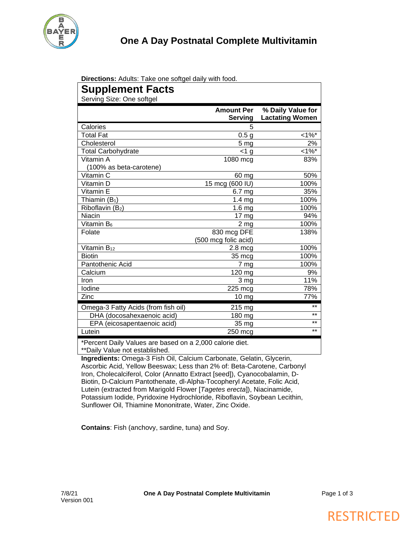

**Directions:** Adults: Take one softgel daily with food.

| Supplement Facts<br>Serving Size: One softgel |                                     |                                             |
|-----------------------------------------------|-------------------------------------|---------------------------------------------|
|                                               | <b>Amount Per</b><br><b>Serving</b> | % Daily Value for<br><b>Lactating Women</b> |
| Calories                                      | 5                                   |                                             |
| <b>Total Fat</b>                              | 0.5 <sub>g</sub>                    | $1\%$ *                                     |
| Cholesterol                                   | 5 <sub>mg</sub>                     | 2%                                          |
| <b>Total Carbohydrate</b>                     | $<$ 1 g                             | $1\%$ *                                     |
| Vitamin A<br>(100% as beta-carotene)          | 1080 mcg                            | 83%                                         |
| Vitamin C                                     | 60 mg                               | 50%                                         |
| Vitamin D                                     | 15 mcg (600 IU)                     | 100%                                        |
| Vitamin E                                     | 6.7 <sub>mg</sub>                   | 35%                                         |
| Thiamin $(B_1)$                               | 1.4 <sub>mg</sub>                   | 100%                                        |
| Riboflavin (B2)                               | 1.6 <sub>mg</sub>                   | 100%                                        |
| Niacin                                        | 17 mg                               | 94%                                         |
| Vitamin B <sub>6</sub>                        | 2 <sub>mg</sub>                     | 100%                                        |
| Folate                                        | 830 mcg DFE                         | 138%                                        |
|                                               | (500 mcg folic acid)                |                                             |
| Vitamin B <sub>12</sub>                       | $2.8 \text{ mc}$                    | 100%                                        |
| <b>Biotin</b>                                 | $35 \text{ mcg}$                    | 100%                                        |
| Pantothenic Acid                              | 7 mg                                | 100%                                        |
| Calcium                                       | 120 mg                              | 9%                                          |
| Iron                                          | 3 mg                                | 11%                                         |
| Iodine                                        | $225 \text{ mc}$                    | 78%                                         |
| Zinc                                          | $10 \text{ mg}$                     | 77%                                         |
| Omega-3 Fatty Acids (from fish oil)           | 215 mg                              | $***$                                       |
| DHA (docosahexaenoic acid)                    | 180 mg                              | $***$                                       |
| EPA (eicosapentaenoic acid)                   | 35 mg                               | $***$                                       |
| Lutein                                        | 250 mcg                             | $***$                                       |

Percent Daily Values are based on a 2,000 calorie diet. \*\*Daily Value not established.

**Ingredients:** Omega-3 Fish Oil, Calcium Carbonate, Gelatin, Glycerin, Ascorbic Acid, Yellow Beeswax; Less than 2% of: Beta-Carotene, Carbonyl Iron, Cholecalciferol, Color (Annatto Extract [seed]), Cyanocobalamin, D-Biotin, D-Calcium Pantothenate, dl-Alpha-Tocopheryl Acetate, Folic Acid, Lutein (extracted from Marigold Flower [*Tagetes erecta*]), Niacinamide, Potassium Iodide, Pyridoxine Hydrochloride, Riboflavin, Soybean Lecithin, Sunflower Oil, Thiamine Mononitrate, Water, Zinc Oxide.

**Contains**: Fish (anchovy, sardine, tuna) and Soy.